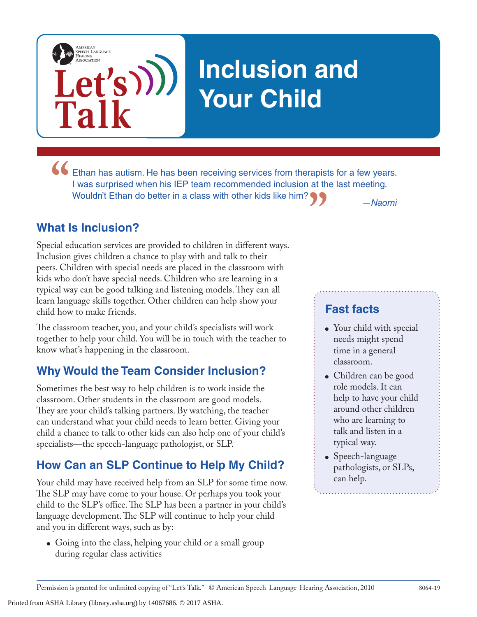# **Inclusion and Your Child**

**The Handal Ethan has autism. He has been receiving services from therapists for a few years.<br>
I was surprised when his IEP team recommended inclusion at the last meeting.<br>
Wouldn't Ethan do better in a class with other ki "** *—Naomi* I was surprised when his IEP team recommended inclusion at the last meeting. Wouldn't Ethan do better in a class with other kids like him?

## **What Is Inclusion?**

**Talk**

AMERICAN<br>SPEECH-LANGUAGE-<br>HEARING<br>ASSOCIATION

**Let's**

Special education services are provided to children in different ways. Inclusion gives children a chance to play with and talk to their peers. Children with special needs are placed in the classroom with kids who don't have special needs. Children who are learning in a typical way can be good talking and listening models. They can all learn language skills together. Other children can help show your child how to make friends.

The classroom teacher, you, and your child's specialists will work together to help your child. You will be in touch with the teacher to know what's happening in the classroom.

## **Why Would the Team Consider Inclusion?**

Sometimes the best way to help children is to work inside the classroom. Other students in the classroom are good models. They are your child's talking partners. By watching, the teacher can understand what your child needs to learn better. Giving your child a chance to talk to other kids can also help one of your child's specialists—the speech-language pathologist, or SLP.

# **How Can an SLP Continue to Help My Child?**

Your child may have received help from an SLP for some time now. The SLP may have come to your house. Or perhaps you took your child to the SLP's office. The SLP has been a partner in your child's language development. The SLP will continue to help your child and you in different ways, such as by:

• Going into the class, helping your child or a small group during regular class activities

Printed from ASHA Library (library.asha.org) by 14067686. © 2017 ASHA.

#### **Fast facts**

- Your child with special needs might spend time in a general classroom.
- Children can be good role models. It can help to have your child around other children who are learning to talk and listen in a typical way.
- Speech-language pathologists, or SLPs, can help.